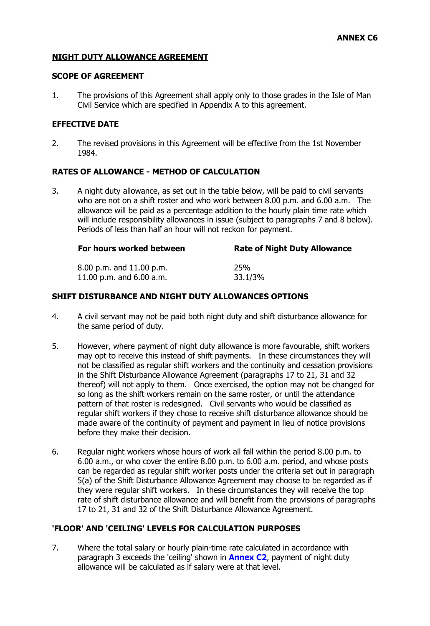# **NIGHT DUTY ALLOWANCE AGREEMENT**

# **SCOPE OF AGREEMENT**

1. The provisions of this Agreement shall apply only to those grades in the Isle of Man Civil Service which are specified in Appendix A to this agreement.

## **EFFECTIVE DATE**

2. The revised provisions in this Agreement will be effective from the 1st November 1984.

## **RATES OF ALLOWANCE - METHOD OF CALCULATION**

3. A night duty allowance, as set out in the table below, will be paid to civil servants who are not on a shift roster and who work between 8.00 p.m. and 6.00 a.m. The allowance will be paid as a percentage addition to the hourly plain time rate which will include responsibility allowances in issue (subject to paragraphs 7 and 8 below). Periods of less than half an hour will not reckon for payment.

| For hours worked between   | <b>Rate of Night Duty Allowance</b> |
|----------------------------|-------------------------------------|
| 8.00 p.m. and 11.00 p.m.   | <b>25%</b>                          |
| 11.00 p.m. and $6.00$ a.m. | 33.1/3%                             |

## **SHIFT DISTURBANCE AND NIGHT DUTY ALLOWANCES OPTIONS**

- 4. A civil servant may not be paid both night duty and shift disturbance allowance for the same period of duty.
- 5. However, where payment of night duty allowance is more favourable, shift workers may opt to receive this instead of shift payments. In these circumstances they will not be classified as regular shift workers and the continuity and cessation provisions in the Shift Disturbance Allowance Agreement (paragraphs 17 to 21, 31 and 32 thereof) will not apply to them. Once exercised, the option may not be changed for so long as the shift workers remain on the same roster, or until the attendance pattern of that roster is redesigned. Civil servants who would be classified as regular shift workers if they chose to receive shift disturbance allowance should be made aware of the continuity of payment and payment in lieu of notice provisions before they make their decision.
- 6. Regular night workers whose hours of work all fall within the period 8.00 p.m. to 6.00 a.m., or who cover the entire 8.00 p.m. to 6.00 a.m. period, and whose posts can be regarded as regular shift worker posts under the criteria set out in paragraph 5(a) of the Shift Disturbance Allowance Agreement may choose to be regarded as if they were regular shift workers. In these circumstances they will receive the top rate of shift disturbance allowance and will benefit from the provisions of paragraphs 17 to 21, 31 and 32 of the Shift Disturbance Allowance Agreement.

## **'FLOOR' AND 'CEILING' LEVELS FOR CALCULATION PURPOSES**

7. Where the total salary or hourly plain-time rate calculated in accordance with paragraph 3 exceeds the 'ceiling' shown in **[Annex C2](http://www.gov.im/hr/iomcs/cs_regs/Annexes/annexc2.xml)**, payment of night duty allowance will be calculated as if salary were at that level.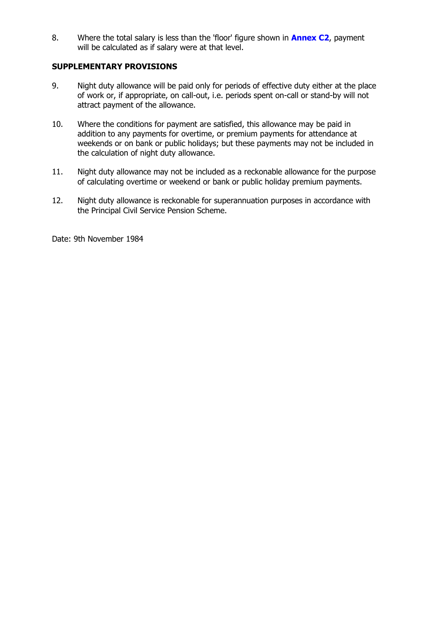8. Where the total salary is less than the 'floor' figure shown in **[Annex C2](http://www.gov.im/hr/iomcs/cs_regs/Annexes/annexc2.xml)**, payment will be calculated as if salary were at that level.

# **SUPPLEMENTARY PROVISIONS**

- 9. Night duty allowance will be paid only for periods of effective duty either at the place of work or, if appropriate, on call-out, i.e. periods spent on-call or stand-by will not attract payment of the allowance.
- 10. Where the conditions for payment are satisfied, this allowance may be paid in addition to any payments for overtime, or premium payments for attendance at weekends or on bank or public holidays; but these payments may not be included in the calculation of night duty allowance.
- 11. Night duty allowance may not be included as a reckonable allowance for the purpose of calculating overtime or weekend or bank or public holiday premium payments.
- 12. Night duty allowance is reckonable for superannuation purposes in accordance with the Principal Civil Service Pension Scheme.

Date: 9th November 1984